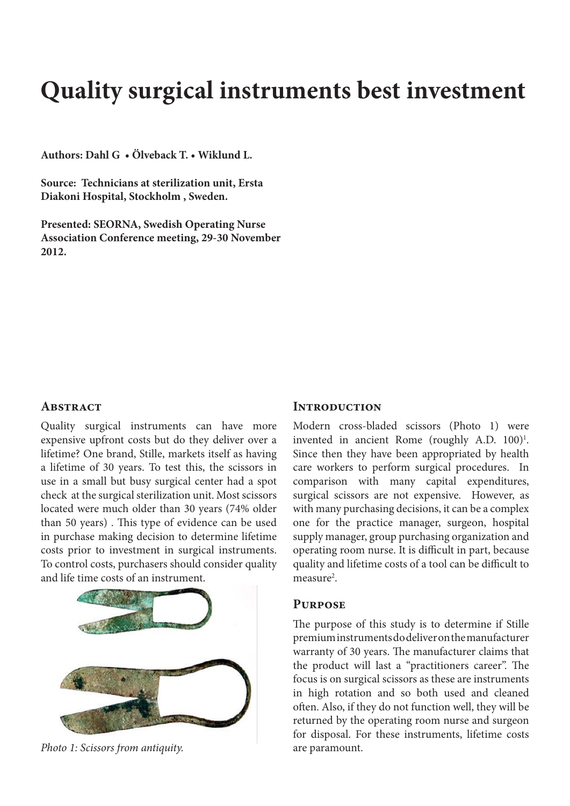# **Quality surgical instruments best investment**

**Authors: Dahl G • Ölveback T. • Wiklund L.** 

**Source: Technicians at sterilization unit, Ersta Diakoni Hospital, Stockholm , Sweden.**

**Presented: SEORNA, Swedish Operating Nurse Association Conference meeting, 29-30 November 2012.** 

### **ABSTRACT**

Quality surgical instruments can have more expensive upfront costs but do they deliver over a lifetime? One brand, Stille, markets itself as having a lifetime of 30 years. To test this, the scissors in use in a small but busy surgical center had a spot check at the surgical sterilization unit. Most scissors located were much older than 30 years (74% older than 50 years) . This type of evidence can be used in purchase making decision to determine lifetime costs prior to investment in surgical instruments. To control costs, purchasers should consider quality and life time costs of an instrument.



*Photo 1: Scissors from antiquity.* are paramount.

### **Introduction**

Modern cross-bladed scissors (Photo 1) were invented in ancient Rome (roughly A.D. 100)<sup>1</sup>. Since then they have been appropriated by health care workers to perform surgical procedures. In comparison with many capital expenditures, surgical scissors are not expensive. However, as with many purchasing decisions, it can be a complex one for the practice manager, surgeon, hospital supply manager, group purchasing organization and operating room nurse. It is difficult in part, because quality and lifetime costs of a tool can be difficult to measure<sup>2</sup>.

#### **Purpose**

The purpose of this study is to determine if Stille premium instruments do deliver on the manufacturer warranty of 30 years. The manufacturer claims that the product will last a "practitioners career". The focus is on surgical scissors as these are instruments in high rotation and so both used and cleaned often. Also, if they do not function well, they will be returned by the operating room nurse and surgeon for disposal. For these instruments, lifetime costs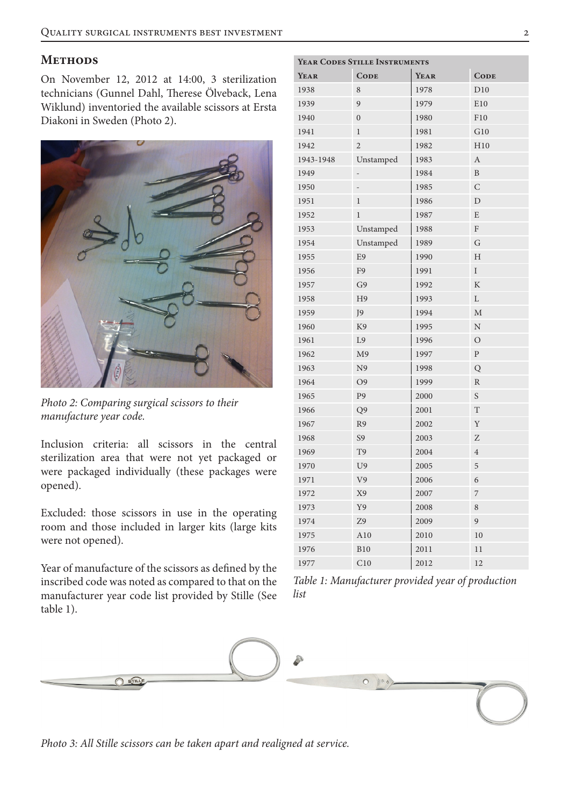# **METHODS**

On November 12, 2012 at 14:00, 3 sterilization technicians (Gunnel Dahl, Therese Ölveback, Lena Wiklund) inventoried the available scissors at Ersta Diakoni in Sweden (Photo 2).



*Photo 2: Comparing surgical scissors to their manufacture year code.*

Inclusion criteria: all scissors in the central sterilization area that were not yet packaged or were packaged individually (these packages were opened).

Excluded: those scissors in use in the operating room and those included in larger kits (large kits were not opened).

Year of manufacture of the scissors as defined by the inscribed code was noted as compared to that on the manufacturer year code list provided by Stille (See table 1).

| YEAR CODES STILLE INSTRUMENTS |                |      |                         |
|-------------------------------|----------------|------|-------------------------|
| YEAR                          | <b>CODE</b>    | YEAR | <b>CODE</b>             |
| 1938                          | 8              | 1978 | D10                     |
| 1939                          | 9              | 1979 | E10                     |
| 1940                          | $\mathbf{0}$   | 1980 | F10                     |
| 1941                          | $\mathbf{1}$   | 1981 | G10                     |
| 1942                          | $\overline{2}$ | 1982 | H10                     |
| 1943-1948                     | Unstamped      | 1983 | $\boldsymbol{A}$        |
| 1949                          |                | 1984 | $\mathbf B$             |
| 1950                          |                | 1985 | $\mathcal{C}$           |
| 1951                          | $\mathbf{1}$   | 1986 | $\mathbf D$             |
| 1952                          | $\mathbf{1}$   | 1987 | E                       |
| 1953                          | Unstamped      | 1988 | F                       |
| 1954                          | Unstamped      | 1989 | G                       |
| 1955                          | E <sub>9</sub> | 1990 | H                       |
| 1956                          | F9             | 1991 | $\rm I$                 |
| 1957                          | G <sub>9</sub> | 1992 | $\mathbf K$             |
| 1958                          | H <sub>9</sub> | 1993 | L                       |
| 1959                          | J9             | 1994 | $\mathbf{M}$            |
| 1960                          | K <sub>9</sub> | 1995 | $\ensuremath{\text{N}}$ |
| 1961                          | L <sub>9</sub> | 1996 | $\overline{O}$          |
| 1962                          | M <sub>9</sub> | 1997 | $\mathbf{P}$            |
| 1963                          | N <sub>9</sub> | 1998 | Q                       |
| 1964                          | O <sub>9</sub> | 1999 | $\mathbb{R}$            |
| 1965                          | P <sub>9</sub> | 2000 | S                       |
| 1966                          | Q <sub>9</sub> | 2001 | T                       |
| 1967                          | R <sub>9</sub> | 2002 | Y                       |
| 1968                          | S9             | 2003 | Z                       |
| 1969                          | T <sub>9</sub> | 2004 | $\overline{4}$          |
| 1970                          | U <sub>9</sub> | 2005 | 5                       |
| 1971                          | V <sub>9</sub> | 2006 | 6                       |
| 1972                          | X9             | 2007 | 7                       |
| 1973                          | Y9             | 2008 | 8                       |
| 1974                          | Z9             | 2009 | 9                       |
| 1975                          | A10            | 2010 | 10                      |
| 1976                          | <b>B10</b>     | 2011 | 11                      |
| 1977                          | C10            | 2012 | 12                      |

*Table 1: Manufacturer provided year of production list*



*Photo 3: All Stille scissors can be taken apart and realigned at service.*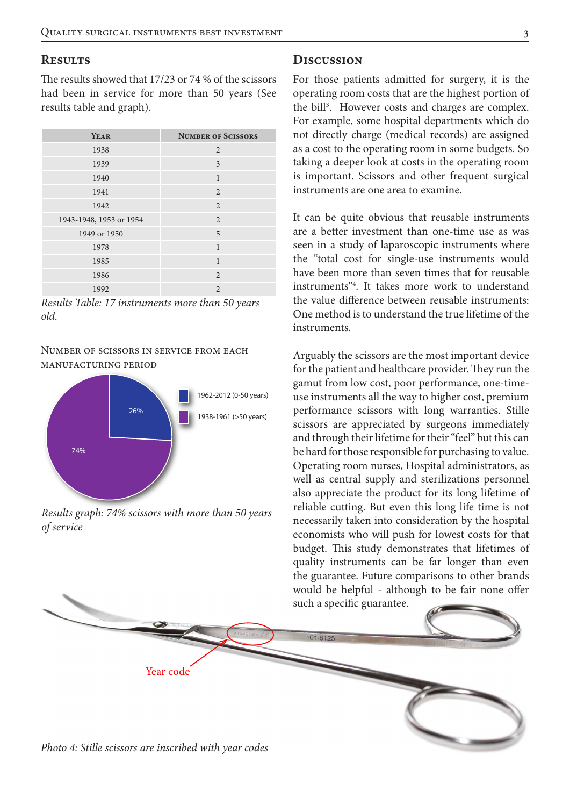#### **Results**

The results showed that 17/23 or 74 % of the scissors had been in service for more than 50 years (See results table and graph).

| YEAR                    | <b>NUMBER OF SCISSORS</b> |
|-------------------------|---------------------------|
| 1938                    | 2                         |
| 1939                    | 3                         |
| 1940                    | $\mathbf{1}$              |
| 1941                    | 2                         |
| 1942                    | 2                         |
| 1943-1948, 1953 or 1954 | 2                         |
| 1949 or 1950            | 5                         |
| 1978                    | $\mathbf{1}$              |
| 1985                    | $\mathbf{1}$              |
| 1986                    | $\overline{2}$            |
| 1992                    | $\mathfrak{D}$            |

*Results Table: 17 instruments more than 50 years old.*

### Number of scissors in service from each manufacturing period



*Results graph: 74% scissors with more than 50 years of service*

#### **Discussion**

For those patients admitted for surgery, it is the operating room costs that are the highest portion of the bill<sup>3</sup>. However costs and charges are complex. For example, some hospital departments which do not directly charge (medical records) are assigned as a cost to the operating room in some budgets. So taking a deeper look at costs in the operating room is important. Scissors and other frequent surgical instruments are one area to examine.

It can be quite obvious that reusable instruments are a better investment than one-time use as was seen in a study of laparoscopic instruments where the "total cost for single-use instruments would have been more than seven times that for reusable instruments"4 . It takes more work to understand the value difference between reusable instruments: One method is to understand the true lifetime of the instruments.

Arguably the scissors are the most important device for the patient and healthcare provider. They run the gamut from low cost, poor performance, one-timeuse instruments all the way to higher cost, premium performance scissors with long warranties. Stille scissors are appreciated by surgeons immediately and through their lifetime for their "feel" but this can be hard for those responsible for purchasing to value. Operating room nurses, Hospital administrators, as well as central supply and sterilizations personnel also appreciate the product for its long lifetime of reliable cutting. But even this long life time is not necessarily taken into consideration by the hospital economists who will push for lowest costs for that budget. This study demonstrates that lifetimes of quality instruments can be far longer than even the guarantee. Future comparisons to other brands would be helpful - although to be fair none offer such a specific guarantee.